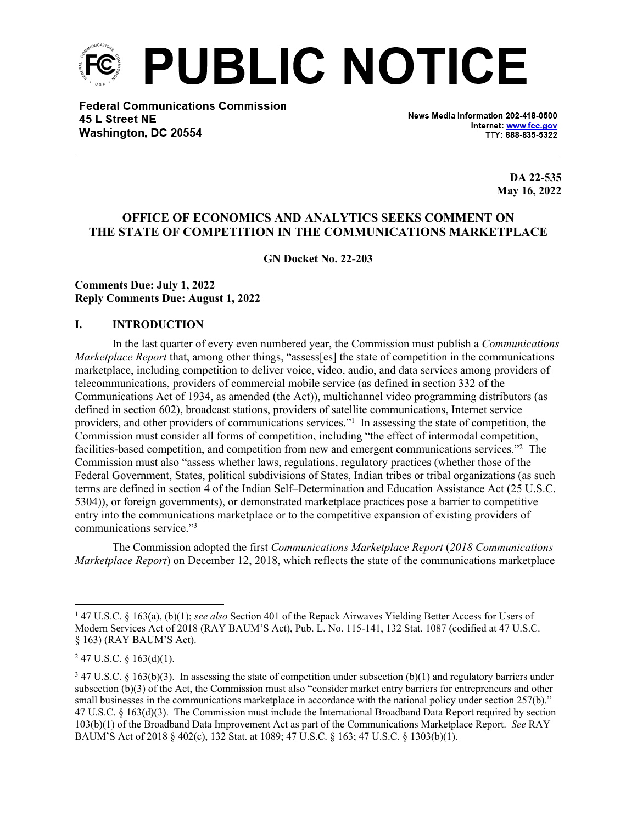

**Federal Communications Commission** 45 L Street NE Washington, DC 20554

News Media Information 202-418-0500 Internet: www.fcc.gov TTY: 888-835-5322

> **DA 22-535 May 16, 2022**

# **OFFICE OF ECONOMICS AND ANALYTICS SEEKS COMMENT ON THE STATE OF COMPETITION IN THE COMMUNICATIONS MARKETPLACE**

**GN Docket No. 22-203**

#### **Comments Due: July 1, 2022 Reply Comments Due: August 1, 2022**

#### **I. INTRODUCTION**

In the last quarter of every even numbered year, the Commission must publish a *Communications Marketplace Report* that, among other things, "assess[es] the state of competition in the communications marketplace, including competition to deliver voice, video, audio, and data services among providers of telecommunications, providers of commercial mobile service (as defined in section 332 of the Communications Act of 1934, as amended (the Act)), multichannel video programming distributors (as defined in section 602), broadcast stations, providers of satellite communications, Internet service providers, and other providers of communications services."<sup>1</sup> In assessing the state of competition, the Commission must consider all forms of competition, including "the effect of intermodal competition, facilities-based competition, and competition from new and emergent communications services."<sup>2</sup> The Commission must also "assess whether laws, regulations, regulatory practices (whether those of the Federal Government, States, political subdivisions of States, Indian tribes or tribal organizations (as such terms are defined in section 4 of the Indian Self–Determination and Education Assistance Act (25 U.S.C. 5304)), or foreign governments), or demonstrated marketplace practices pose a barrier to competitive entry into the communications marketplace or to the competitive expansion of existing providers of communications service."<sup>3</sup>

The Commission adopted the first *Communications Marketplace Report* (*2018 Communications Marketplace Report*) on December 12, 2018, which reflects the state of the communications marketplace

<sup>&</sup>lt;sup>1</sup> 47 U.S.C. § 163(a), (b)(1); *see also* Section 401 of the Repack Airwaves Yielding Better Access for Users of Modern Services Act of 2018 (RAY BAUM'S Act), Pub. L. No. 115-141, 132 Stat. 1087 (codified at 47 U.S.C. § 163) (RAY BAUM'S Act).

 $247$  U.S.C. § 163(d)(1).

 $347$  U.S.C. § 163(b)(3). In assessing the state of competition under subsection (b)(1) and regulatory barriers under subsection (b)(3) of the Act, the Commission must also "consider market entry barriers for entrepreneurs and other small businesses in the communications marketplace in accordance with the national policy under section 257(b)." 47 U.S.C. § 163(d)(3). The Commission must include the International Broadband Data Report required by section 103(b)(1) of the Broadband Data Improvement Act as part of the Communications Marketplace Report. *See* RAY BAUM'S Act of 2018 § 402(c), 132 Stat. at 1089; 47 U.S.C. § 163; 47 U.S.C. § 1303(b)(1).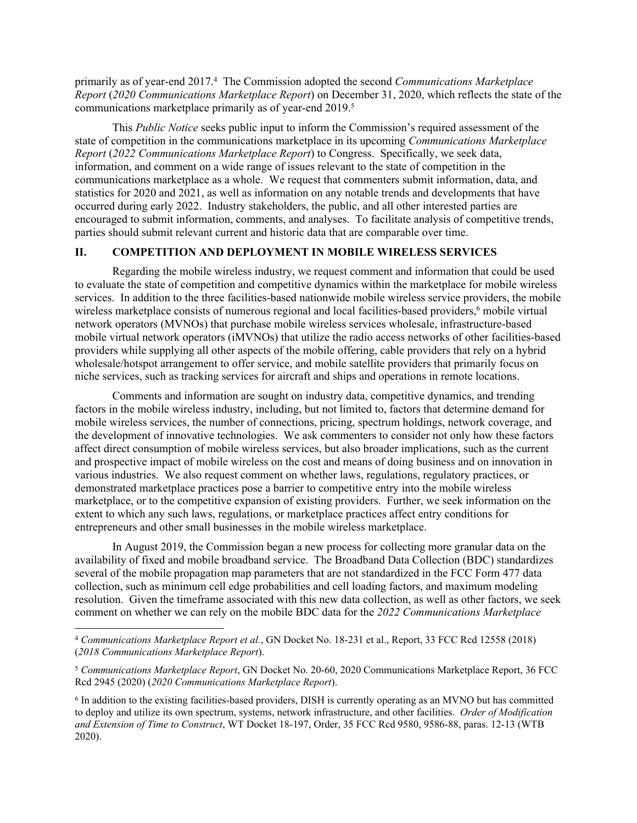primarily as of year-end 2017.<sup>4</sup> The Commission adopted the second *Communications Marketplace Report* (*2020 Communications Marketplace Report*) on December 31, 2020, which reflects the state of the communications marketplace primarily as of year-end 2019.<sup>5</sup>

This *Public Notice* seeks public input to inform the Commission's required assessment of the state of competition in the communications marketplace in its upcoming *Communications Marketplace Report* (*2022 Communications Marketplace Report*) to Congress. Specifically, we seek data, information, and comment on a wide range of issues relevant to the state of competition in the communications marketplace as a whole. We request that commenters submit information, data, and statistics for 2020 and 2021, as well as information on any notable trends and developments that have occurred during early 2022. Industry stakeholders, the public, and all other interested parties are encouraged to submit information, comments, and analyses. To facilitate analysis of competitive trends, parties should submit relevant current and historic data that are comparable over time.

## **II. COMPETITION AND DEPLOYMENT IN MOBILE WIRELESS SERVICES**

Regarding the mobile wireless industry, we request comment and information that could be used to evaluate the state of competition and competitive dynamics within the marketplace for mobile wireless services. In addition to the three facilities-based nationwide mobile wireless service providers, the mobile wireless marketplace consists of numerous regional and local facilities-based providers,<sup>6</sup> mobile virtual network operators (MVNOs) that purchase mobile wireless services wholesale, infrastructure-based mobile virtual network operators (iMVNOs) that utilize the radio access networks of other facilities-based providers while supplying all other aspects of the mobile offering, cable providers that rely on a hybrid wholesale/hotspot arrangement to offer service, and mobile satellite providers that primarily focus on niche services, such as tracking services for aircraft and ships and operations in remote locations.

Comments and information are sought on industry data, competitive dynamics, and trending factors in the mobile wireless industry, including, but not limited to, factors that determine demand for mobile wireless services, the number of connections, pricing, spectrum holdings, network coverage, and the development of innovative technologies. We ask commenters to consider not only how these factors affect direct consumption of mobile wireless services, but also broader implications, such as the current and prospective impact of mobile wireless on the cost and means of doing business and on innovation in various industries. We also request comment on whether laws, regulations, regulatory practices, or demonstrated marketplace practices pose a barrier to competitive entry into the mobile wireless marketplace, or to the competitive expansion of existing providers. Further, we seek information on the extent to which any such laws, regulations, or marketplace practices affect entry conditions for entrepreneurs and other small businesses in the mobile wireless marketplace.

In August 2019, the Commission began a new process for collecting more granular data on the availability of fixed and mobile broadband service. The Broadband Data Collection (BDC) standardizes several of the mobile propagation map parameters that are not standardized in the FCC Form 477 data collection, such as minimum cell edge probabilities and cell loading factors, and maximum modeling resolution. Given the timeframe associated with this new data collection, as well as other factors, we seek comment on whether we can rely on the mobile BDC data for the *2022 Communications Marketplace* 

<sup>4</sup> *Communications Marketplace Report et al.*, GN Docket No. 18-231 et al., Report, 33 FCC Rcd 12558 (2018) (*2018 Communications Marketplace Report*).

<sup>5</sup> *Communications Marketplace Report*, GN Docket No. 20-60, 2020 Communications Marketplace Report, 36 FCC Rcd 2945 (2020) (*2020 Communications Marketplace Report*).

<sup>6</sup> In addition to the existing facilities-based providers, DISH is currently operating as an MVNO but has committed to deploy and utilize its own spectrum, systems, network infrastructure, and other facilities. *Order of Modification and Extension of Time to Construct*, WT Docket 18-197, Order, 35 FCC Rcd 9580, 9586-88, paras. 12-13 (WTB 2020).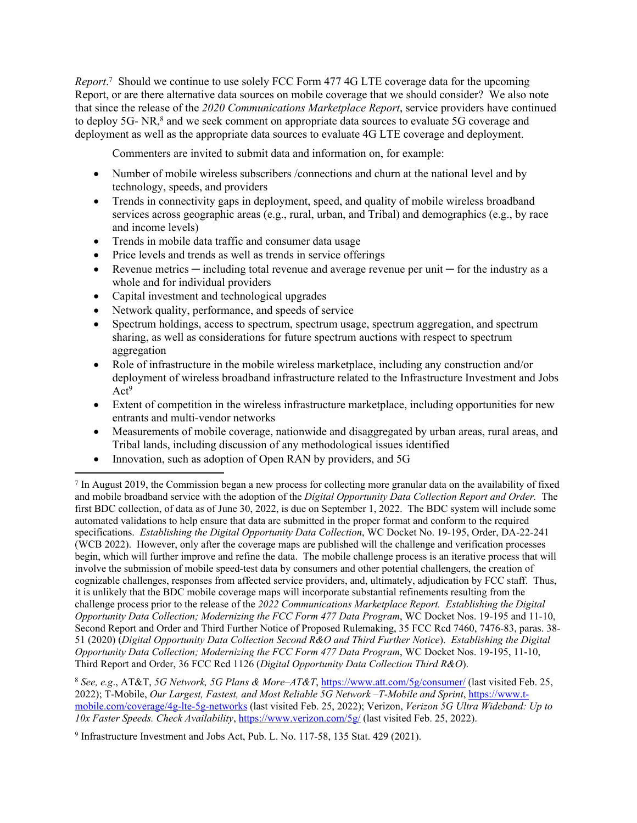*Report*. 7 Should we continue to use solely FCC Form 477 4G LTE coverage data for the upcoming Report, or are there alternative data sources on mobile coverage that we should consider? We also note that since the release of the *2020 Communications Marketplace Report*, service providers have continued to deploy 5G- NR,<sup>8</sup> and we seek comment on appropriate data sources to evaluate 5G coverage and deployment as well as the appropriate data sources to evaluate 4G LTE coverage and deployment.

Commenters are invited to submit data and information on, for example:

- Number of mobile wireless subscribers /connections and churn at the national level and by technology, speeds, and providers
- Trends in connectivity gaps in deployment, speed, and quality of mobile wireless broadband services across geographic areas (e.g., rural, urban, and Tribal) and demographics (e.g., by race and income levels)
- Trends in mobile data traffic and consumer data usage
- Price levels and trends as well as trends in service offerings
- Revenue metrics including total revenue and average revenue per unit for the industry as a whole and for individual providers
- Capital investment and technological upgrades
- Network quality, performance, and speeds of service
- Spectrum holdings, access to spectrum, spectrum usage, spectrum aggregation, and spectrum sharing, as well as considerations for future spectrum auctions with respect to spectrum aggregation
- Role of infrastructure in the mobile wireless marketplace, including any construction and/or deployment of wireless broadband infrastructure related to the Infrastructure Investment and Jobs Act<sup>9</sup>
- Extent of competition in the wireless infrastructure marketplace, including opportunities for new entrants and multi-vendor networks
- Measurements of mobile coverage, nationwide and disaggregated by urban areas, rural areas, and Tribal lands, including discussion of any methodological issues identified
- Innovation, such as adoption of Open RAN by providers, and 5G

<sup>8</sup> *See, e.g*., AT&T, *5G Network, 5G Plans & More–AT&T*, <https://www.att.com/5g/consumer/>(last visited Feb. 25, 2022); T-Mobile, *Our Largest, Fastest, and Most Reliable 5G Network –T-Mobile and Sprint*, [https://www.t](https://www.t-mobile.com/coverage/4g-lte-5g-networks)[mobile.com/coverage/4g-lte-5g-networks](https://www.t-mobile.com/coverage/4g-lte-5g-networks) (last visited Feb. 25, 2022); Verizon, *Verizon 5G Ultra Wideband: Up to 10x Faster Speeds. Check Availability*,<https://www.verizon.com/5g/>(last visited Feb. 25, 2022).

<sup>7</sup> In August 2019, the Commission began a new process for collecting more granular data on the availability of fixed and mobile broadband service with the adoption of the *Digital Opportunity Data Collection Report and Order.* The first BDC collection, of data as of June 30, 2022, is due on September 1, 2022. The BDC system will include some automated validations to help ensure that data are submitted in the proper format and conform to the required specifications. *Establishing the Digital Opportunity Data Collection*, WC Docket No. 19-195, Order, DA-22-241 (WCB 2022). However, only after the coverage maps are published will the challenge and verification processes begin, which will further improve and refine the data. The mobile challenge process is an iterative process that will involve the submission of mobile speed-test data by consumers and other potential challengers, the creation of cognizable challenges, responses from affected service providers, and, ultimately, adjudication by FCC staff. Thus, it is unlikely that the BDC mobile coverage maps will incorporate substantial refinements resulting from the challenge process prior to the release of the *2022 Communications Marketplace Report. Establishing the Digital Opportunity Data Collection; Modernizing the FCC Form 477 Data Program*, WC Docket Nos. 19-195 and 11-10, Second Report and Order and Third Further Notice of Proposed Rulemaking, 35 FCC Rcd 7460, 7476-83, paras. 38- 51 (2020) (*Digital Opportunity Data Collection Second R&O and Third Further Notice*). *Establishing the Digital Opportunity Data Collection; Modernizing the FCC Form 477 Data Program*, WC Docket Nos. 19-195, 11-10, Third Report and Order, 36 FCC Rcd 1126 (*Digital Opportunity Data Collection Third R&O*).

<sup>9</sup> Infrastructure Investment and Jobs Act, Pub. L. No. 117-58, 135 Stat. 429 (2021).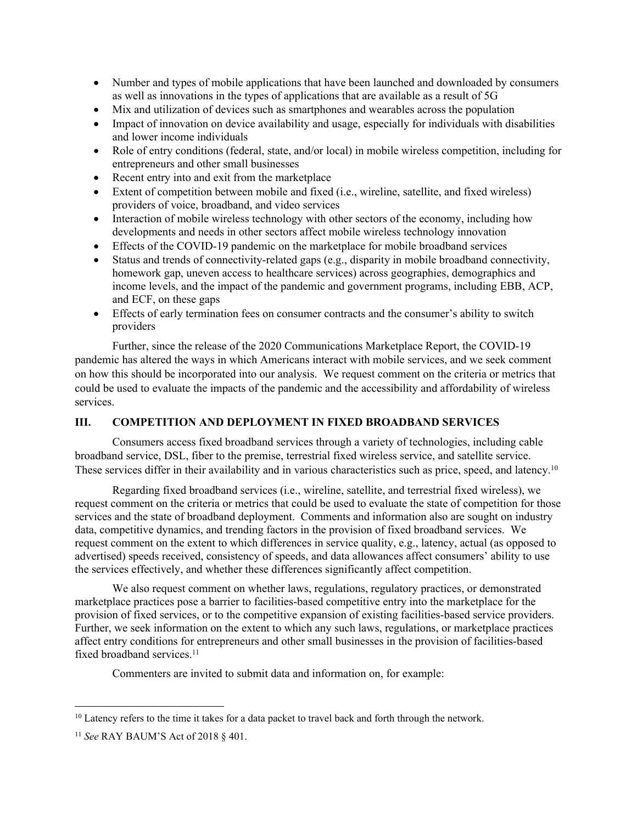- Number and types of mobile applications that have been launched and downloaded by consumers as well as innovations in the types of applications that are available as a result of 5G
- Mix and utilization of devices such as smartphones and wearables across the population
- Impact of innovation on device availability and usage, especially for individuals with disabilities and lower income individuals
- Role of entry conditions (federal, state, and/or local) in mobile wireless competition, including for entrepreneurs and other small businesses
- Recent entry into and exit from the marketplace
- Extent of competition between mobile and fixed (i.e., wireline, satellite, and fixed wireless) providers of voice, broadband, and video services
- Interaction of mobile wireless technology with other sectors of the economy, including how developments and needs in other sectors affect mobile wireless technology innovation
- Effects of the COVID-19 pandemic on the marketplace for mobile broadband services
- Status and trends of connectivity-related gaps (e.g., disparity in mobile broadband connectivity, homework gap, uneven access to healthcare services) across geographies, demographics and income levels, and the impact of the pandemic and government programs, including EBB, ACP, and ECF, on these gaps
- Effects of early termination fees on consumer contracts and the consumer's ability to switch providers

Further, since the release of the 2020 Communications Marketplace Report, the COVID-19 pandemic has altered the ways in which Americans interact with mobile services, and we seek comment on how this should be incorporated into our analysis. We request comment on the criteria or metrics that could be used to evaluate the impacts of the pandemic and the accessibility and affordability of wireless services.

# **III. COMPETITION AND DEPLOYMENT IN FIXED BROADBAND SERVICES**

Consumers access fixed broadband services through a variety of technologies, including cable broadband service, DSL, fiber to the premise, terrestrial fixed wireless service, and satellite service. These services differ in their availability and in various characteristics such as price, speed, and latency.<sup>10</sup>

Regarding fixed broadband services (i.e., wireline, satellite, and terrestrial fixed wireless), we request comment on the criteria or metrics that could be used to evaluate the state of competition for those services and the state of broadband deployment. Comments and information also are sought on industry data, competitive dynamics, and trending factors in the provision of fixed broadband services. We request comment on the extent to which differences in service quality, e.g., latency, actual (as opposed to advertised) speeds received, consistency of speeds, and data allowances affect consumers' ability to use the services effectively, and whether these differences significantly affect competition.

We also request comment on whether laws, regulations, regulatory practices, or demonstrated marketplace practices pose a barrier to facilities-based competitive entry into the marketplace for the provision of fixed services, or to the competitive expansion of existing facilities-based service providers. Further, we seek information on the extent to which any such laws, regulations, or marketplace practices affect entry conditions for entrepreneurs and other small businesses in the provision of facilities-based fixed broadband services.<sup>11</sup>

Commenters are invited to submit data and information on, for example:

<sup>&</sup>lt;sup>10</sup> Latency refers to the time it takes for a data packet to travel back and forth through the network.

<sup>11</sup> *See* RAY BAUM'S Act of 2018 § 401.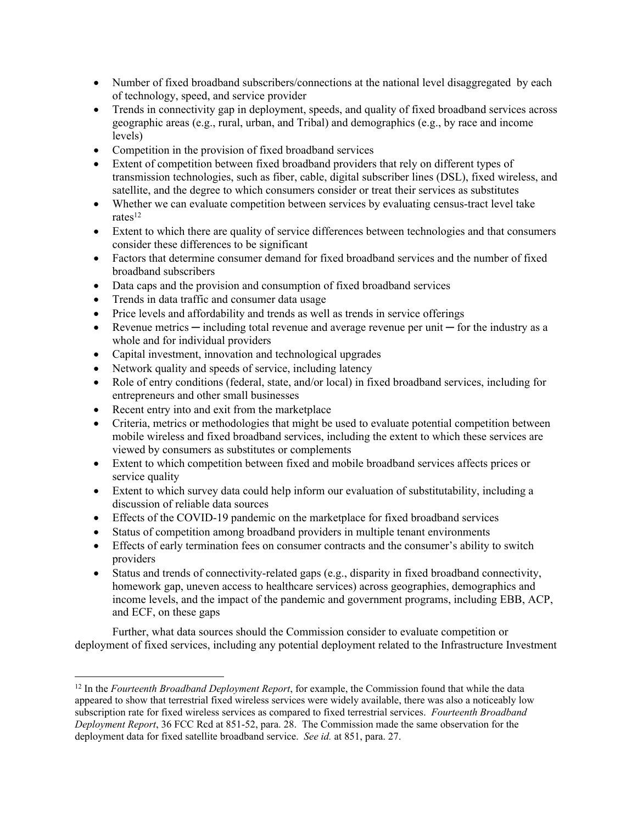- Number of fixed broadband subscribers/connections at the national level disaggregated by each of technology, speed, and service provider
- Trends in connectivity gap in deployment, speeds, and quality of fixed broadband services across geographic areas (e.g., rural, urban, and Tribal) and demographics (e.g., by race and income levels)
- Competition in the provision of fixed broadband services
- Extent of competition between fixed broadband providers that rely on different types of transmission technologies, such as fiber, cable, digital subscriber lines (DSL), fixed wireless, and satellite, and the degree to which consumers consider or treat their services as substitutes
- Whether we can evaluate competition between services by evaluating census-tract level take rates $12$
- Extent to which there are quality of service differences between technologies and that consumers consider these differences to be significant
- Factors that determine consumer demand for fixed broadband services and the number of fixed broadband subscribers
- Data caps and the provision and consumption of fixed broadband services
- Trends in data traffic and consumer data usage
- Price levels and affordability and trends as well as trends in service offerings
- Revenue metrics ─ including total revenue and average revenue per unit ─ for the industry as a whole and for individual providers
- Capital investment, innovation and technological upgrades
- Network quality and speeds of service, including latency
- Role of entry conditions (federal, state, and/or local) in fixed broadband services, including for entrepreneurs and other small businesses
- Recent entry into and exit from the marketplace
- Criteria, metrics or methodologies that might be used to evaluate potential competition between mobile wireless and fixed broadband services, including the extent to which these services are viewed by consumers as substitutes or complements
- Extent to which competition between fixed and mobile broadband services affects prices or service quality
- Extent to which survey data could help inform our evaluation of substitutability, including a discussion of reliable data sources
- Effects of the COVID-19 pandemic on the marketplace for fixed broadband services
- Status of competition among broadband providers in multiple tenant environments
- Effects of early termination fees on consumer contracts and the consumer's ability to switch providers
- Status and trends of connectivity-related gaps (e.g., disparity in fixed broadband connectivity, homework gap, uneven access to healthcare services) across geographies, demographics and income levels, and the impact of the pandemic and government programs, including EBB, ACP, and ECF, on these gaps

Further, what data sources should the Commission consider to evaluate competition or deployment of fixed services, including any potential deployment related to the Infrastructure Investment

<sup>12</sup> In the *Fourteenth Broadband Deployment Report*, for example, the Commission found that while the data appeared to show that terrestrial fixed wireless services were widely available, there was also a noticeably low subscription rate for fixed wireless services as compared to fixed terrestrial services. *Fourteenth Broadband Deployment Report*, 36 FCC Rcd at 851-52, para. 28. The Commission made the same observation for the deployment data for fixed satellite broadband service. *See id.* at 851, para. 27.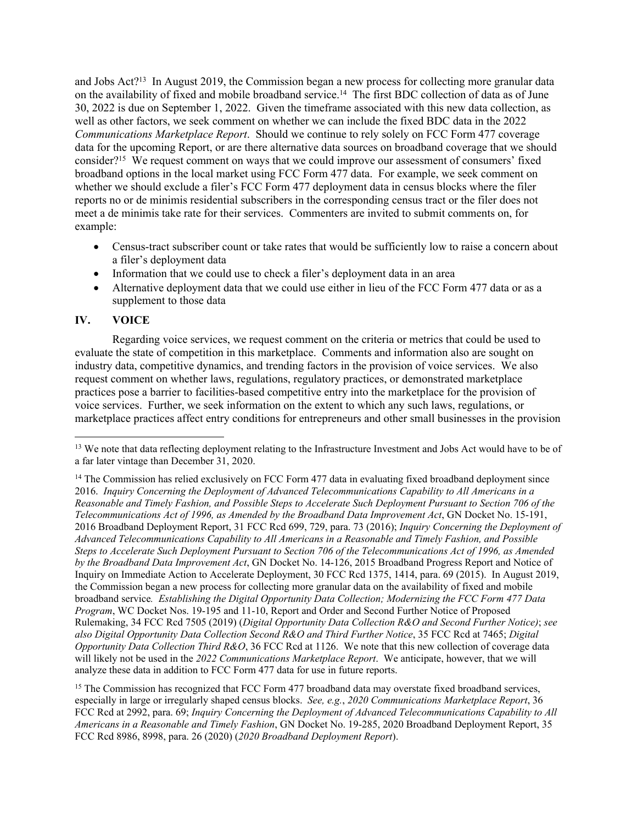and Jobs Act?<sup>13</sup> In August 2019, the Commission began a new process for collecting more granular data on the availability of fixed and mobile broadband service.<sup>14</sup> The first BDC collection of data as of June 30, 2022 is due on September 1, 2022. Given the timeframe associated with this new data collection, as well as other factors, we seek comment on whether we can include the fixed BDC data in the 2022 *Communications Marketplace Report*. Should we continue to rely solely on FCC Form 477 coverage data for the upcoming Report, or are there alternative data sources on broadband coverage that we should consider?<sup>15</sup> We request comment on ways that we could improve our assessment of consumers' fixed broadband options in the local market using FCC Form 477 data. For example, we seek comment on whether we should exclude a filer's FCC Form 477 deployment data in census blocks where the filer reports no or de minimis residential subscribers in the corresponding census tract or the filer does not meet a de minimis take rate for their services. Commenters are invited to submit comments on, for example:

- Census-tract subscriber count or take rates that would be sufficiently low to raise a concern about a filer's deployment data
- Information that we could use to check a filer's deployment data in an area
- Alternative deployment data that we could use either in lieu of the FCC Form 477 data or as a supplement to those data

## **IV. VOICE**

Regarding voice services, we request comment on the criteria or metrics that could be used to evaluate the state of competition in this marketplace. Comments and information also are sought on industry data, competitive dynamics, and trending factors in the provision of voice services. We also request comment on whether laws, regulations, regulatory practices, or demonstrated marketplace practices pose a barrier to facilities-based competitive entry into the marketplace for the provision of voice services. Further, we seek information on the extent to which any such laws, regulations, or marketplace practices affect entry conditions for entrepreneurs and other small businesses in the provision

<sup>&</sup>lt;sup>13</sup> We note that data reflecting deployment relating to the Infrastructure Investment and Jobs Act would have to be of a far later vintage than December 31, 2020.

<sup>&</sup>lt;sup>14</sup> The Commission has relied exclusively on FCC Form 477 data in evaluating fixed broadband deployment since 2016. *Inquiry Concerning the Deployment of Advanced Telecommunications Capability to All Americans in a Reasonable and Timely Fashion, and Possible Steps to Accelerate Such Deployment Pursuant to Section 706 of the Telecommunications Act of 1996, as Amended by the Broadband Data Improvement Act*, GN Docket No. 15-191, 2016 Broadband Deployment Report, 31 FCC Rcd 699, 729, para. 73 (2016); *Inquiry Concerning the Deployment of Advanced Telecommunications Capability to All Americans in a Reasonable and Timely Fashion, and Possible Steps to Accelerate Such Deployment Pursuant to Section 706 of the Telecommunications Act of 1996, as Amended by the Broadband Data Improvement Act*, GN Docket No. 14-126, 2015 Broadband Progress Report and Notice of Inquiry on Immediate Action to Accelerate Deployment, 30 FCC Rcd 1375, 1414, para. 69 (2015). In August 2019, the Commission began a new process for collecting more granular data on the availability of fixed and mobile broadband service*. Establishing the Digital Opportunity Data Collection; Modernizing the FCC Form 477 Data Program*, WC Docket Nos. 19-195 and 11-10, Report and Order and Second Further Notice of Proposed Rulemaking, 34 FCC Rcd 7505 (2019) (*Digital Opportunity Data Collection R&O and Second Further Notice)*; *see also Digital Opportunity Data Collection Second R&O and Third Further Notice*, 35 FCC Rcd at 7465; *Digital Opportunity Data Collection Third R&O*, 36 FCC Rcd at 1126. We note that this new collection of coverage data will likely not be used in the *2022 Communications Marketplace Report*. We anticipate, however, that we will analyze these data in addition to FCC Form 477 data for use in future reports.

<sup>&</sup>lt;sup>15</sup> The Commission has recognized that FCC Form 477 broadband data may overstate fixed broadband services, especially in large or irregularly shaped census blocks. *See, e.g.*, *2020 Communications Marketplace Report*, 36 FCC Rcd at 2992, para. 69; *Inquiry Concerning the Deployment of Advanced Telecommunications Capability to All Americans in a Reasonable and Timely Fashion*, GN Docket No. 19-285, 2020 Broadband Deployment Report, 35 FCC Rcd 8986, 8998, para. 26 (2020) (*2020 Broadband Deployment Report*).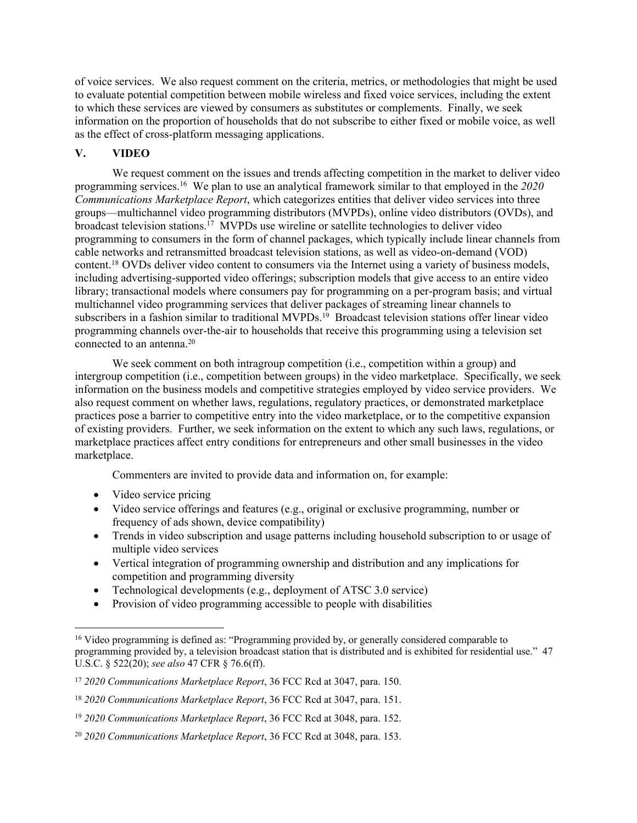of voice services. We also request comment on the criteria, metrics, or methodologies that might be used to evaluate potential competition between mobile wireless and fixed voice services, including the extent to which these services are viewed by consumers as substitutes or complements. Finally, we seek information on the proportion of households that do not subscribe to either fixed or mobile voice, as well as the effect of cross-platform messaging applications.

## **V. VIDEO**

We request comment on the issues and trends affecting competition in the market to deliver video programming services.<sup>16</sup> We plan to use an analytical framework similar to that employed in the *2020 Communications Marketplace Report*, which categorizes entities that deliver video services into three groups—multichannel video programming distributors (MVPDs), online video distributors (OVDs), and broadcast television stations.<sup>17</sup> MVPDs use wireline or satellite technologies to deliver video programming to consumers in the form of channel packages, which typically include linear channels from cable networks and retransmitted broadcast television stations, as well as video-on-demand (VOD) content.<sup>18</sup> OVDs deliver video content to consumers via the Internet using a variety of business models, including advertising-supported video offerings; subscription models that give access to an entire video library; transactional models where consumers pay for programming on a per-program basis; and virtual multichannel video programming services that deliver packages of streaming linear channels to subscribers in a fashion similar to traditional MVPDs.<sup>19</sup> Broadcast television stations offer linear video programming channels over-the-air to households that receive this programming using a television set connected to an antenna.<sup>20</sup>

We seek comment on both intragroup competition (i.e., competition within a group) and intergroup competition (i.e., competition between groups) in the video marketplace. Specifically, we seek information on the business models and competitive strategies employed by video service providers. We also request comment on whether laws, regulations, regulatory practices, or demonstrated marketplace practices pose a barrier to competitive entry into the video marketplace, or to the competitive expansion of existing providers. Further, we seek information on the extent to which any such laws, regulations, or marketplace practices affect entry conditions for entrepreneurs and other small businesses in the video marketplace.

Commenters are invited to provide data and information on, for example:

- Video service pricing
- Video service offerings and features (e.g., original or exclusive programming, number or frequency of ads shown, device compatibility)
- Trends in video subscription and usage patterns including household subscription to or usage of multiple video services
- Vertical integration of programming ownership and distribution and any implications for competition and programming diversity
- Technological developments (e.g., deployment of ATSC 3.0 service)
- Provision of video programming accessible to people with disabilities

<sup>&</sup>lt;sup>16</sup> Video programming is defined as: "Programming provided by, or generally considered comparable to programming provided by, a television broadcast station that is distributed and is exhibited for residential use." 47 U.S.C. § 522(20); *see also* 47 CFR § 76.6(ff).

<sup>17</sup> *2020 Communications Marketplace Report*, 36 FCC Rcd at 3047, para. 150.

<sup>18</sup> *2020 Communications Marketplace Report*, 36 FCC Rcd at 3047, para. 151.

<sup>19</sup> *2020 Communications Marketplace Report*, 36 FCC Rcd at 3048, para. 152.

<sup>20</sup> *2020 Communications Marketplace Report*, 36 FCC Rcd at 3048, para. 153.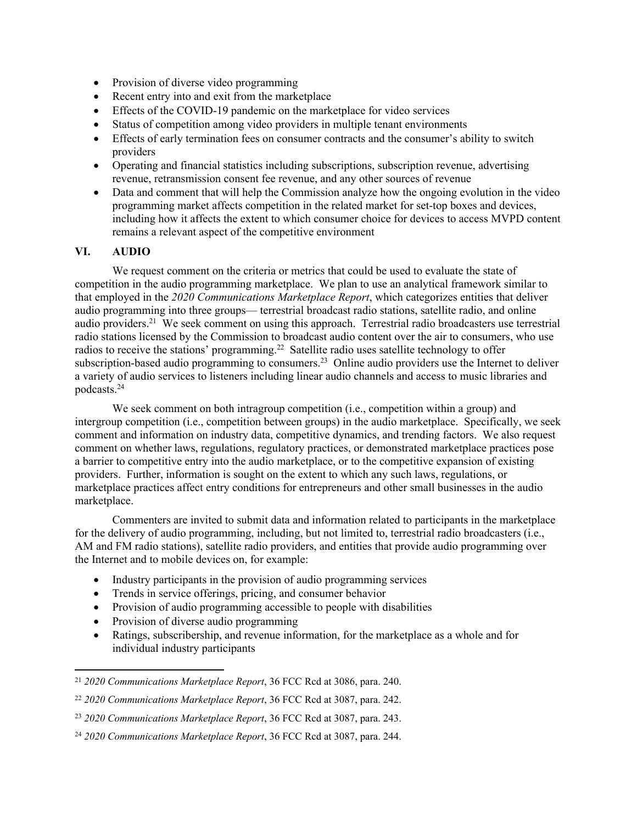- Provision of diverse video programming
- Recent entry into and exit from the marketplace
- Effects of the COVID-19 pandemic on the marketplace for video services
- Status of competition among video providers in multiple tenant environments
- Effects of early termination fees on consumer contracts and the consumer's ability to switch providers
- Operating and financial statistics including subscriptions, subscription revenue, advertising revenue, retransmission consent fee revenue, and any other sources of revenue
- Data and comment that will help the Commission analyze how the ongoing evolution in the video programming market affects competition in the related market for set-top boxes and devices, including how it affects the extent to which consumer choice for devices to access MVPD content remains a relevant aspect of the competitive environment

# **VI. AUDIO**

We request comment on the criteria or metrics that could be used to evaluate the state of competition in the audio programming marketplace. We plan to use an analytical framework similar to that employed in the *2020 Communications Marketplace Report*, which categorizes entities that deliver audio programming into three groups— terrestrial broadcast radio stations, satellite radio, and online audio providers.<sup>21</sup> We seek comment on using this approach. Terrestrial radio broadcasters use terrestrial radio stations licensed by the Commission to broadcast audio content over the air to consumers, who use radios to receive the stations' programming.<sup>22</sup> Satellite radio uses satellite technology to offer subscription-based audio programming to consumers.<sup>23</sup> Online audio providers use the Internet to deliver a variety of audio services to listeners including linear audio channels and access to music libraries and podcasts.<sup>24</sup>

We seek comment on both intragroup competition (i.e., competition within a group) and intergroup competition (i.e., competition between groups) in the audio marketplace. Specifically, we seek comment and information on industry data, competitive dynamics, and trending factors. We also request comment on whether laws, regulations, regulatory practices, or demonstrated marketplace practices pose a barrier to competitive entry into the audio marketplace, or to the competitive expansion of existing providers. Further, information is sought on the extent to which any such laws, regulations, or marketplace practices affect entry conditions for entrepreneurs and other small businesses in the audio marketplace.

Commenters are invited to submit data and information related to participants in the marketplace for the delivery of audio programming, including, but not limited to, terrestrial radio broadcasters (i.e., AM and FM radio stations), satellite radio providers, and entities that provide audio programming over the Internet and to mobile devices on, for example:

- Industry participants in the provision of audio programming services
- Trends in service offerings, pricing, and consumer behavior
- Provision of audio programming accessible to people with disabilities
- Provision of diverse audio programming
- Ratings, subscribership, and revenue information, for the marketplace as a whole and for individual industry participants

<sup>21</sup> *2020 Communications Marketplace Report*, 36 FCC Rcd at 3086, para. 240.

<sup>22</sup> *2020 Communications Marketplace Report*, 36 FCC Rcd at 3087, para. 242.

<sup>23</sup> *2020 Communications Marketplace Report*, 36 FCC Rcd at 3087, para. 243.

<sup>24</sup> *2020 Communications Marketplace Report*, 36 FCC Rcd at 3087, para. 244.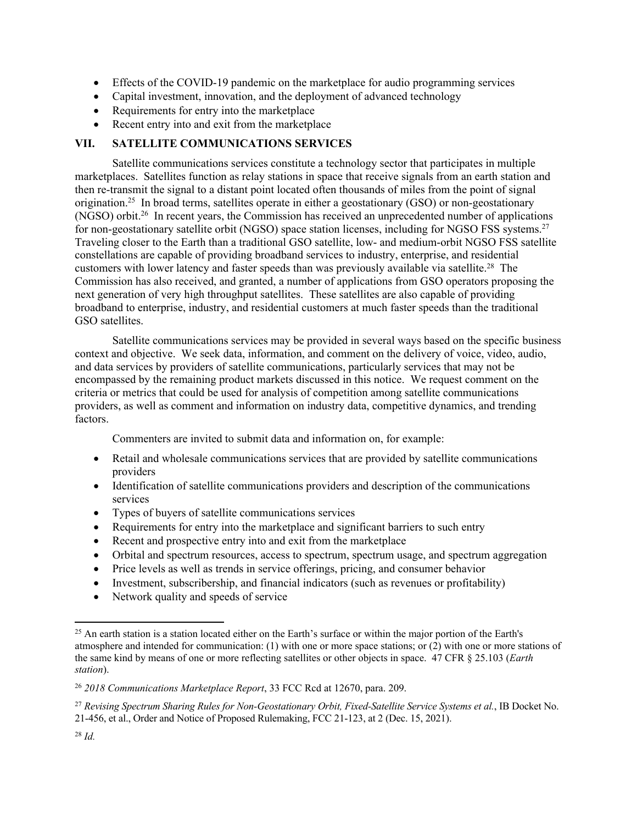- Effects of the COVID-19 pandemic on the marketplace for audio programming services
- Capital investment, innovation, and the deployment of advanced technology
- Requirements for entry into the marketplace
- Recent entry into and exit from the marketplace

# **VII. SATELLITE COMMUNICATIONS SERVICES**

Satellite communications services constitute a technology sector that participates in multiple marketplaces. Satellites function as relay stations in space that receive signals from an earth station and then re-transmit the signal to a distant point located often thousands of miles from the point of signal origination.<sup>25</sup> In broad terms, satellites operate in either a geostationary (GSO) or non-geostationary (NGSO) orbit.<sup>26</sup> In recent years, the Commission has received an unprecedented number of applications for non-geostationary satellite orbit (NGSO) space station licenses, including for NGSO FSS systems.<sup>27</sup> Traveling closer to the Earth than a traditional GSO satellite, low- and medium-orbit NGSO FSS satellite constellations are capable of providing broadband services to industry, enterprise, and residential customers with lower latency and faster speeds than was previously available via satellite.<sup>28</sup> The Commission has also received, and granted, a number of applications from GSO operators proposing the next generation of very high throughput satellites. These satellites are also capable of providing broadband to enterprise, industry, and residential customers at much faster speeds than the traditional GSO satellites.

Satellite communications services may be provided in several ways based on the specific business context and objective. We seek data, information, and comment on the delivery of voice, video, audio, and data services by providers of satellite communications, particularly services that may not be encompassed by the remaining product markets discussed in this notice. We request comment on the criteria or metrics that could be used for analysis of competition among satellite communications providers, as well as comment and information on industry data, competitive dynamics, and trending factors.

Commenters are invited to submit data and information on, for example:

- Retail and wholesale communications services that are provided by satellite communications providers
- Identification of satellite communications providers and description of the communications services
- Types of buyers of satellite communications services
- Requirements for entry into the marketplace and significant barriers to such entry
- Recent and prospective entry into and exit from the marketplace
- Orbital and spectrum resources, access to spectrum, spectrum usage, and spectrum aggregation
- Price levels as well as trends in service offerings, pricing, and consumer behavior
- Investment, subscribership, and financial indicators (such as revenues or profitability)
- Network quality and speeds of service

<sup>&</sup>lt;sup>25</sup> An earth station is a station located either on the Earth's surface or within the major portion of the Earth's atmosphere and intended for communication: (1) with one or more space stations; or (2) with one or more stations of the same kind by means of one or more reflecting satellites or other objects in space. 47 CFR § 25.103 (*Earth station*).

<sup>26</sup> *2018 Communications Marketplace Report*, 33 FCC Rcd at 12670, para. 209.

<sup>27</sup> *Revising Spectrum Sharing Rules for Non-Geostationary Orbit, Fixed-Satellite Service Systems et al.*, IB Docket No. 21-456, et al., Order and Notice of Proposed Rulemaking, FCC 21-123, at 2 (Dec. 15, 2021).

<sup>28</sup> *Id.*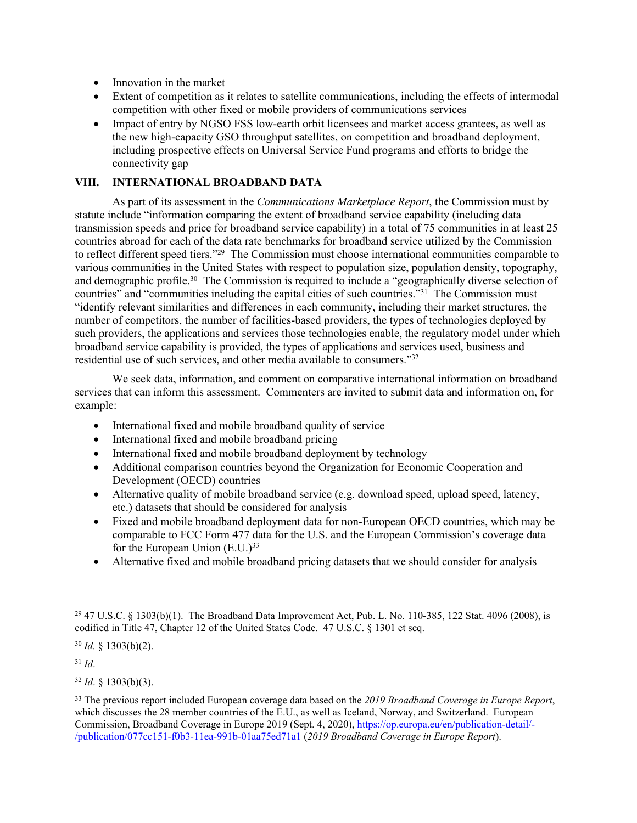- Innovation in the market
- Extent of competition as it relates to satellite communications, including the effects of intermodal competition with other fixed or mobile providers of communications services
- Impact of entry by NGSO FSS low-earth orbit licensees and market access grantees, as well as the new high-capacity GSO throughput satellites, on competition and broadband deployment, including prospective effects on Universal Service Fund programs and efforts to bridge the connectivity gap

## **VIII. INTERNATIONAL BROADBAND DATA**

As part of its assessment in the *Communications Marketplace Report*, the Commission must by statute include "information comparing the extent of broadband service capability (including data transmission speeds and price for broadband service capability) in a total of 75 communities in at least 25 countries abroad for each of the data rate benchmarks for broadband service utilized by the Commission to reflect different speed tiers."<sup>29</sup> The Commission must choose international communities comparable to various communities in the United States with respect to population size, population density, topography, and demographic profile.<sup>30</sup> The Commission is required to include a "geographically diverse selection of countries" and "communities including the capital cities of such countries."<sup>31</sup> The Commission must "identify relevant similarities and differences in each community, including their market structures, the number of competitors, the number of facilities-based providers, the types of technologies deployed by such providers, the applications and services those technologies enable, the regulatory model under which broadband service capability is provided, the types of applications and services used, business and residential use of such services, and other media available to consumers."<sup>32</sup>

We seek data, information, and comment on comparative international information on broadband services that can inform this assessment. Commenters are invited to submit data and information on, for example:

- International fixed and mobile broadband quality of service
- International fixed and mobile broadband pricing
- International fixed and mobile broadband deployment by technology
- Additional comparison countries beyond the Organization for Economic Cooperation and Development (OECD) countries
- Alternative quality of mobile broadband service (e.g. download speed, upload speed, latency, etc.) datasets that should be considered for analysis
- Fixed and mobile broadband deployment data for non-European OECD countries, which may be comparable to FCC Form 477 data for the U.S. and the European Commission's coverage data for the European Union (E.U.)<sup>33</sup>
- Alternative fixed and mobile broadband pricing datasets that we should consider for analysis

<sup>30</sup> *Id.* § 1303(b)(2).

<sup>31</sup> *Id*.

<sup>32</sup> *Id*. § 1303(b)(3).

<sup>29</sup> 47 U.S.C. § 1303(b)(1). The Broadband Data Improvement Act, Pub. L. No. 110-385, 122 Stat. 4096 (2008), is codified in Title 47, Chapter 12 of the United States Code. 47 U.S.C. § 1301 et seq.

<sup>33</sup> The previous report included European coverage data based on the *2019 Broadband Coverage in Europe Report*, which discusses the 28 member countries of the E.U., as well as Iceland, Norway, and Switzerland. European Commission, Broadband Coverage in Europe 2019 (Sept. 4, 2020), [https://op.europa.eu/en/publication-detail/-](https://op.europa.eu/en/publication-detail/-/publication/077cc151-f0b3-11ea-991b-01aa75ed71a1) [/publication/077cc151-f0b3-11ea-991b-01aa75ed71a1](https://op.europa.eu/en/publication-detail/-/publication/077cc151-f0b3-11ea-991b-01aa75ed71a1) (*2019 Broadband Coverage in Europe Report*).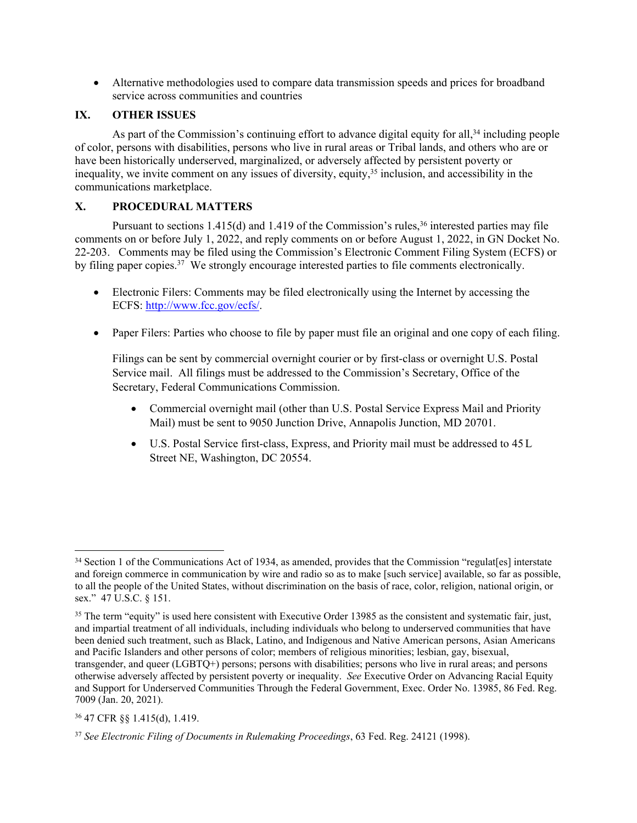Alternative methodologies used to compare data transmission speeds and prices for broadband service across communities and countries

## **IX. OTHER ISSUES**

As part of the Commission's continuing effort to advance digital equity for all,<sup>34</sup> including people of color, persons with disabilities, persons who live in rural areas or Tribal lands, and others who are or have been historically underserved, marginalized, or adversely affected by persistent poverty or inequality, we invite comment on any issues of diversity, equity,<sup>35</sup> inclusion, and accessibility in the communications marketplace.

## **X. PROCEDURAL MATTERS**

Pursuant to sections  $1.415(d)$  and  $1.419$  of the Commission's rules,<sup>36</sup> interested parties may file comments on or before July 1, 2022, and reply comments on or before August 1, 2022, in GN Docket No. 22-203. Comments may be filed using the Commission's Electronic Comment Filing System (ECFS) or by filing paper copies.<sup>37</sup> We strongly encourage interested parties to file comments electronically.

- Electronic Filers: Comments may be filed electronically using the Internet by accessing the ECFS:<http://www.fcc.gov/ecfs/>.
- Paper Filers: Parties who choose to file by paper must file an original and one copy of each filing.

Filings can be sent by commercial overnight courier or by first-class or overnight U.S. Postal Service mail. All filings must be addressed to the Commission's Secretary, Office of the Secretary, Federal Communications Commission.

- Commercial overnight mail (other than U.S. Postal Service Express Mail and Priority Mail) must be sent to 9050 Junction Drive, Annapolis Junction, MD 20701.
- U.S. Postal Service first-class, Express, and Priority mail must be addressed to 45 L Street NE, Washington, DC 20554.

<sup>36</sup> 47 CFR §§ 1.415(d), 1.419.

<sup>&</sup>lt;sup>34</sup> Section 1 of the Communications Act of 1934, as amended, provides that the Commission "regulat[es] interstate and foreign commerce in communication by wire and radio so as to make [such service] available, so far as possible, to all the people of the United States, without discrimination on the basis of race, color, religion, national origin, or sex." 47 U.S.C. § 151.

<sup>&</sup>lt;sup>35</sup> The term "equity" is used here consistent with Executive Order 13985 as the consistent and systematic fair, just, and impartial treatment of all individuals, including individuals who belong to underserved communities that have been denied such treatment, such as Black, Latino, and Indigenous and Native American persons, Asian Americans and Pacific Islanders and other persons of color; members of religious minorities; lesbian, gay, bisexual, transgender, and queer (LGBTQ+) persons; persons with disabilities; persons who live in rural areas; and persons otherwise adversely affected by persistent poverty or inequality. *See* Executive Order on Advancing Racial Equity and Support for Underserved Communities Through the Federal Government, Exec. Order No. 13985, 86 Fed. Reg. 7009 (Jan. 20, 2021).

<sup>37</sup> *See Electronic Filing of Documents in Rulemaking Proceedings*, 63 Fed. Reg. 24121 (1998).